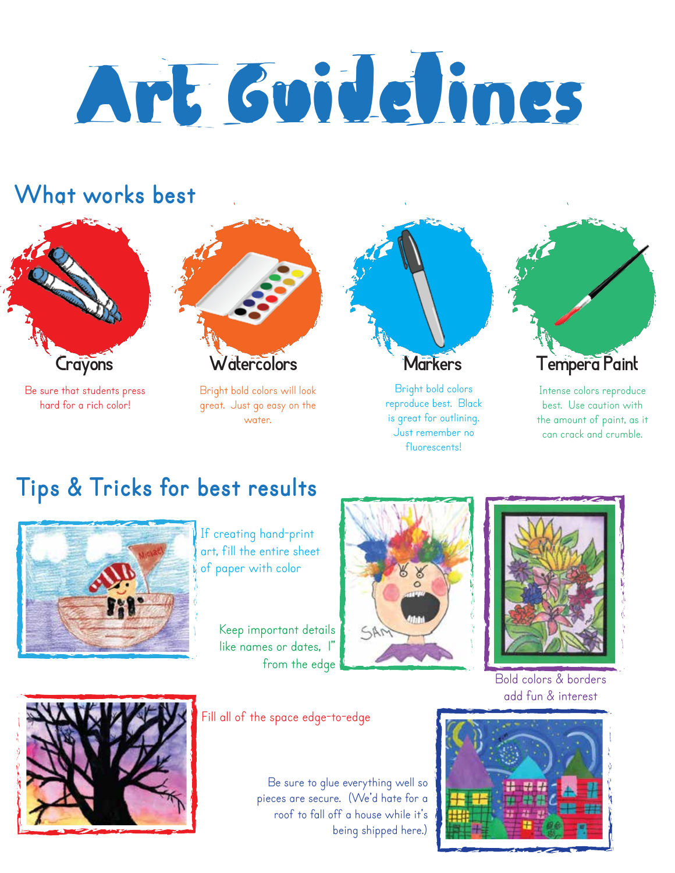# Art Guidelines

## **What works best**



Be sure that students press hard for a rich color!



Bright bold colors will look great. Just go easy on the water.



Bright bold colors reproduce best. Black is great for outlining. Just remember no fluorescents!



Intense colors reproduce best. Use caution with the amount of paint, as it can crack and crumble.

# **Tips & Tricks for best results**



If creating hand-print art, fill the entire sheet of paper with color

Keep important details like names or dates, I" from the edge





Bold colors & borders add fun & interest



Fill all of the space edge-to-edge

Be sure to glue everything well so pieces are secure. (We'd hate for a roof to fall off a house while it's being shipped here.)